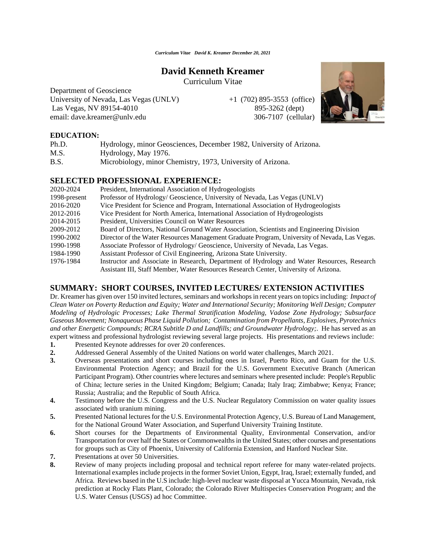## **David Kenneth Kreamer**

Curriculum Vitae

Department of Geoscience University of Nevada, Las Vegas (UNLV)  $+1$  (702) 895-3553 (office) Las Vegas, NV 89154-4010 895-3262 (dept) email: dave.kreamer@unlv.edu 306-7107 (cellular)



#### **EDUCATION:**

| Ph.D. | Hydrology, minor Geosciences, December 1982, University of Arizona. |
|-------|---------------------------------------------------------------------|
| M.S.  | Hydrology, May 1976.                                                |
| B.S.  | Microbiology, minor Chemistry, 1973, University of Arizona.         |

#### **SELECTED PROFESSIONAL EXPERIENCE:**

| 2020-2024    | President, International Association of Hydrogeologists                                       |
|--------------|-----------------------------------------------------------------------------------------------|
| 1998-present | Professor of Hydrology/ Geoscience, University of Nevada, Las Vegas (UNLV)                    |
| 2016-2020    | Vice President for Science and Program, International Association of Hydrogeologists          |
| 2012-2016    | Vice President for North America, International Association of Hydrogeologists                |
| 2014-2015    | President, Universities Council on Water Resources                                            |
| 2009-2012    | Board of Directors, National Ground Water Association, Scientists and Engineering Division    |
| 1990-2002    | Director of the Water Resources Management Graduate Program, University of Nevada, Las Vegas. |
| 1990-1998    | Associate Professor of Hydrology/ Geoscience, University of Nevada, Las Vegas.                |
| 1984-1990    | Assistant Professor of Civil Engineering, Arizona State University.                           |
| 1976-1984    | Instructor and Associate in Research, Department of Hydrology and Water Resources, Research   |
|              | Assistant III, Staff Member, Water Resources Research Center, University of Arizona.          |

### **SUMMARY: SHORT COURSES, INVITED LECTURES/ EXTENSION ACTIVITIES**

Dr. Kreamer has given over 150 invited lectures, seminars and workshops in recent years on topics including: *Impact of Clean Water on Poverty Reduction and Equity; Water and International Security; Monitoring Well Design; Computer Modeling of Hydrologic Processes; Lake Thermal Stratification Modeling, Vadose Zone Hydrology; Subsurface Gaseous Movement; Nonaqueous Phase Liquid Pollution; Contamination from Propellants, Explosives, Pyrotechnics and other Energetic Compounds; RCRA Subtitle D and Landfills; and Groundwater Hydrology;.* He has served as an expert witness and professional hydrologist reviewing several large projects. His presentations and reviews include:

- **1.** Presented Keynote addresses for over 20 conferences.
- **2.** Addressed General Assembly of the United Nations on world water challenges, March 2021.
- **3.** Overseas presentations and short courses including ones in Israel, Puerto Rico, and Guam for the U.S. Environmental Protection Agency; and Brazil for the U.S. Government Executive Branch (American Participant Program). Other countries where lectures and seminars where presented include: People's Republic of China; lecture series in the United Kingdom; Belgium; Canada; Italy Iraq; Zimbabwe; Kenya; France; Russia; Australia; and the Republic of South Africa.
- **4.** Testimony before the U.S. Congress and the U.S. Nuclear Regulatory Commission on water quality issues associated with uranium mining.
- **5.** Presented National lectures for the U.S. Environmental Protection Agency, U.S. Bureau of Land Management, for the National Ground Water Association, and Superfund University Training Institute.
- **6.** Short courses for the Departments of Environmental Quality, Environmental Conservation, and/or Transportation for over half the States or Commonwealths in the United States; other courses and presentations for groups such as City of Phoenix, University of California Extension, and Hanford Nuclear Site.
- **7.** Presentations at over 50 Universities.
- **8.** Review of many projects including proposal and technical report referee for many water-related projects. International examples include projects in the former Soviet Union, Egypt, Iraq, Israel; externally funded, and Africa. Reviews based in the U.S include: high-level nuclear waste disposal at Yucca Mountain, Nevada, risk prediction at Rocky Flats Plant, Colorado; the Colorado River Multispecies Conservation Program; and the U.S. Water Census (USGS) ad hoc Committee.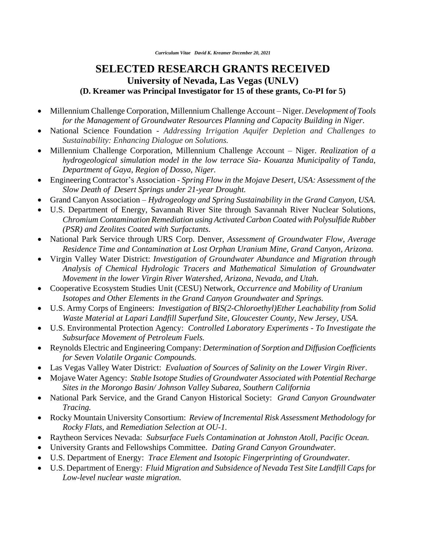# **SELECTED RESEARCH GRANTS RECEIVED University of Nevada, Las Vegas (UNLV) (D. Kreamer was Principal Investigator for 15 of these grants, Co-PI for 5)**

- Millennium Challenge Corporation, Millennium Challenge Account Niger. *Development of Tools for the Management of Groundwater Resources Planning and Capacity Building in Niger*.
- National Science Foundation *Addressing Irrigation Aquifer Depletion and Challenges to Sustainability: Enhancing Dialogue on Solutions.*
- Millennium Challenge Corporation, Millennium Challenge Account Niger. *Realization of a hydrogeological simulation model in the low terrace Sia- Kouanza Municipality of Tanda, Department of Gaya, Region of Dosso, Niger.*
- Engineering Contractor's Association *Spring Flow in the Mojave Desert, USA: Assessment of the Slow Death of Desert Springs under 21-year Drought.*
- Grand Canyon Association *Hydrogeology and Spring Sustainability in the Grand Canyon, USA.*
- U.S. Department of Energy, Savannah River Site through Savannah River Nuclear Solutions, *Chromium Contamination Remediation using Activated Carbon Coated with Polysulfide Rubber (PSR) and Zeolites Coated with Surfactants.*
- National Park Service through URS Corp. Denver, *Assessment of Groundwater Flow, Average Residence Time and Contamination at Lost Orphan Uranium Mine, Grand Canyon, Arizona.*
- Virgin Valley Water District: *Investigation of Groundwater Abundance and Migration through Analysis of Chemical Hydrologic Tracers and Mathematical Simulation of Groundwater Movement in the lower Virgin River Watershed, Arizona, Nevada, and Utah.*
- Cooperative Ecosystem Studies Unit (CESU) Network, *Occurrence and Mobility of Uranium Isotopes and Other Elements in the Grand Canyon Groundwater and Springs.*
- U.S. Army Corps of Engineers: *Investigation of BIS(2-Chloroethyl)Ether Leachability from Solid Waste Material at Lapari Landfill Superfund Site, Gloucester County, New Jersey, USA.*
- U.S. Environmental Protection Agency: *Controlled Laboratory Experiments - To Investigate the Subsurface Movement of Petroleum Fuels.*
- Reynolds Electric and Engineering Company: *Determination of Sorption and Diffusion Coefficients for Seven Volatile Organic Compounds.*
- Las Vegas Valley Water District: *Evaluation of Sources of Salinity on the Lower Virgin River*.
- Mojave Water Agency: *Stable Isotope Studies of Groundwater Associated with Potential Recharge Sites in the Morongo Basin/ Johnson Valley Subarea, Southern California*
- National Park Service, and the Grand Canyon Historical Society: *Grand Canyon Groundwater Tracing.*
- Rocky Mountain University Consortium: *Review of Incremental Risk Assessment Methodology for Rocky Flats,* and *Remediation Selection at OU-1.*
- Raytheon Services Nevada: *Subsurface Fuels Contamination at Johnston Atoll, Pacific Ocean.*
- University Grants and Fellowships Committee. *Dating Grand Canyon Groundwater.*
- U.S. Department of Energy: *Trace Element and Isotopic Fingerprinting of Groundwater.*
- U.S. Department of Energy: *Fluid Migration and Subsidence of Nevada Test Site Landfill Caps for Low-level nuclear waste migration.*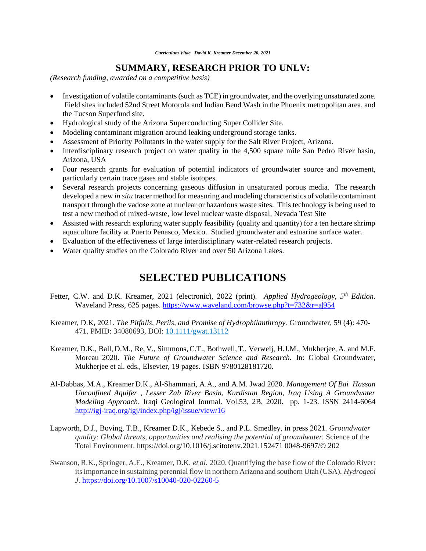### **SUMMARY, RESEARCH PRIOR TO UNLV:**

*(Research funding, awarded on a competitive basis)*

- Investigation of volatile contaminants (such as TCE) in groundwater, and the overlying unsaturated zone. Field sites included 52nd Street Motorola and Indian Bend Wash in the Phoenix metropolitan area, and the Tucson Superfund site.
- Hydrological study of the Arizona Superconducting Super Collider Site.
- Modeling contaminant migration around leaking underground storage tanks.
- Assessment of Priority Pollutants in the water supply for the Salt River Project, Arizona.
- Interdisciplinary research project on water quality in the  $4.500$  square mile San Pedro River basin, Arizona, USA
- Four research grants for evaluation of potential indicators of groundwater source and movement, particularly certain trace gases and stable isotopes.
- Several research projects concerning gaseous diffusion in unsaturated porous media. The research developed a new *in situ* tracer method for measuring and modeling characteristics of volatile contaminant transport through the vadose zone at nuclear or hazardous waste sites. This technology is being used to test a new method of mixed-waste, low level nuclear waste disposal, Nevada Test Site
- Assisted with research exploring water supply feasibility (quality and quantity) for a ten hectare shrimp aquaculture facility at Puerto Penasco, Mexico. Studied groundwater and estuarine surface water.
- Evaluation of the effectiveness of large interdisciplinary water-related research projects.
- Water quality studies on the Colorado River and over 50 Arizona Lakes.

# **SELECTED PUBLICATIONS**

- Fetter, C.W. and D.K. Kreamer, 2021 (electronic), 2022 (print). *Applied Hydrogeology, 5th Edition.*  Waveland Press, 625 pages.<https://www.waveland.com/browse.php?t=732&r=a|954>
- Kreamer, D.K, 2021. *The Pitfalls, Perils, and Promise of Hydrophilanthropy.* Groundwater, 59 (4): 470- 471. PMID: 34080693, DOI: [10.1111/gwat.13112](https://doi.org/10.1111/gwat.13112)
- Kreamer, D.K., Ball, D.M., Re, V., Simmons, C.T., Bothwell, T., Verweij, H.J.M., Mukherjee, A. and M.F. Moreau 2020. *The Future of Groundwater Science and Research.* In: Global Groundwater, Mukherjee et al. eds., Elsevier, 19 pages. ISBN 9780128181720.
- Al-Dabbas, M.A., Kreamer D.K., Al-Shammari, A.A., and A.M. Jwad 2020. *Management Of Bai Hassan Unconfined Aquifer , Lesser Zab River Basin, Kurdistan Region, Iraq Using A Groundwater Modeling Approach,* Iraqi Geological Journal. Vol.53, 2B, 2020. pp. 1-23. ISSN 2414-6064 <http://igj-iraq.org/igj/index.php/igj/issue/view/16>
- Lapworth, D.J., Boving, T.B., Kreamer D.K., Kebede S., and P.L. Smedley, in press 2021*. Groundwater quality: Global threats, opportunities and realising the potential of groundwater.* Science of the Total Environment. https://doi.org/10.1016/j.scitotenv.2021.152471 0048-9697/© 202
- Swanson, R.K., Springer, A.E., Kreamer, D.K. *et al.* 2020. Quantifying the base flow of the Colorado River: its importance in sustaining perennial flow in northern Arizona and southern Utah (USA). *Hydrogeol J*.<https://doi.org/10.1007/s10040-020-02260-5>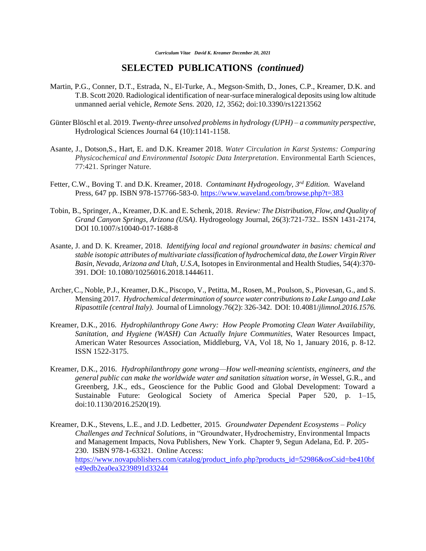- Martin, P.G., Conner, D.T., Estrada, N., El-Turke, A., Megson-Smith, D., Jones, C.P., Kreamer, D.K. and T.B. Scott 2020. Radiological identification of near-surface mineralogical deposits using low altitude unmanned aerial vehicle, *Remote Sens.* 2020, *12*, 3562; doi:10.3390/rs12213562
- [Günter Blöschl](https://www.tandfonline.com/author/Bl%C3%B6schl%2C+G%C3%BCnter) et al. 2019. *Twenty-three unsolved problems in hydrology (UPH) – a community perspective*, Hydrological Sciences Journal 64 (10):1141-1158.
- Asante, J., Dotson,S., Hart, E. and D.K. Kreamer 2018. *Water Circulation in Karst Systems: Comparing Physicochemical and Environmental Isotopic Data Interpretation.* Environmental Earth Sciences, 77:421. Springer Nature.
- Fetter, C.W., Boving T. and D.K. Kreamer, 2018. *Contaminant Hydrogeology, 3rd Edition.* Waveland Press, 647 pp. ISBN 978-157766-583-0. <https://www.waveland.com/browse.php?t=383>
- Tobin, B., Springer, A., Kreamer, D.K. and E. Schenk, 2018. *Review: The Distribution, Flow, and Quality of Grand Canyon Springs, Arizona (USA).* Hydrogeology Journal, 26(3):721-732.. ISSN 1431-2174, DOI 10.1007/s10040-017-1688-8
- Asante, J. and D. K. Kreamer, 2018. *Identifying local and regional groundwater in basins: chemical and stable isotopic attributes of multivariate classification of hydrochemical data, the Lower Virgin River Basin, Nevada, Arizona and Utah, U.S.A,* Isotopes in Environmental and Health Studies, 54(4):370- 391. DOI: 10.1080/10256016.2018.1444611.
- Archer,C., Noble, P.J., Kreamer, D.K., Piscopo, V., Petitta, M., Rosen, M., Poulson, S., Piovesan, G., and S. Mensing 2017. *Hydrochemical determination of source water contributions to Lake Lungo and Lake Ripasottile (central Italy).* Journal of Limnology.76(2): 326-342. DOI: 10.4081/*jlimnol.2016.1576.*
- Kreamer, D.K., 2016. *Hydrophilanthropy Gone Awry: How People Promoting Clean Water Availability, Sanitation, and Hygiene (WASH) Can Actually Injure Communities,* Water Resources Impact, American Water Resources Association, Middleburg, VA, Vol 18, No 1, January 2016, p. 8-12. ISSN 1522-3175.
- Kreamer, D.K., 2016. *Hydrophilanthropy gone wrong—How well-meaning scientists, engineers, and the general public can make the worldwide water and sanitation situation worse*, *in* Wessel, G.R., and Greenberg, J.K., eds., Geoscience for the Public Good and Global Development: Toward a Sustainable Future: Geological Society of America Special Paper 520, p. 1–15, doi:10.1130/2016.2520(19).
- Kreamer, D.K., Stevens, L.E., and J.D. Ledbetter, 2015. *Groundwater Dependent Ecosystems – Policy Challenges and Technical Solutions,* in "Groundwater, Hydrochemistry, Environmental Impacts and Management Impacts, Nova Publishers, New York. Chapter 9, Segun Adelana, Ed. P. 205- 230. ISBN 978-1-63321. Online Access: [https://www.novapublishers.com/catalog/product\\_info.php?products\\_id=52986&osCsid=be410bf](https://www.novapublishers.com/catalog/product_info.php?products_id=52986&osCsid=be410bfe49edb2ea0ea3239891d33244) [e49edb2ea0ea3239891d33244](https://www.novapublishers.com/catalog/product_info.php?products_id=52986&osCsid=be410bfe49edb2ea0ea3239891d33244)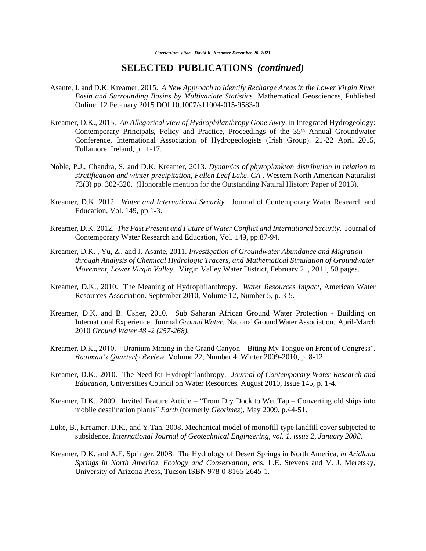- Asante, J. and D.K. Kreamer, 2015. *A New Approach to Identify Recharge Areas in the Lower Virgin River Basin and Surrounding Basins by Multivariate Statistics*. Mathematical Geosciences, Published Online: 12 February 2015 DOI 10.1007/s11004-015-9583-0
- Kreamer, D.K., 2015. *An Allegorical view of Hydrophilanthropy Gone Awry,* in Integrated Hydrogeology: Contemporary Principals, Policy and Practice, Proceedings of the  $35<sup>th</sup>$  Annual Groundwater Conference, International Association of Hydrogeologists (Irish Group). 21-22 April 2015, Tullamore, Ireland, p 11-17.
- Noble, P.J., Chandra, S. and D.K. Kreamer, 2013. *Dynamics of phytoplankton distribution in relation to stratification and winter precipitation, Fallen Leaf Lake, CA* . Western North American Naturalist 73(3) pp. 302-320. (Honorable mention for the Outstanding Natural History Paper of 2013).
- Kreamer, D.K. 2012. *Water and International Security.* Journal of Contemporary Water Research and Education, Vol. 149, pp.1-3.
- Kreamer, D.K. 2012. *The Past Present and Future of Water Conflict and International Security.* Journal of Contemporary Water Research and Education, Vol. 149, pp.87-94.
- Kreamer, D.K. , Yu, Z., and J. Asante, 2011. *Investigation of Groundwater Abundance and Migration through Analysis of Chemical Hydrologic Tracers, and Mathematical Simulation of Groundwater Movement, Lower Virgin Valley.* Virgin Valley Water District, February 21, 2011, 50 pages.
- Kreamer, D.K., 2010. The Meaning of Hydrophilanthropy. *Water Resources Impact,* American Water Resources Association. September 2010, Volume 12, Number 5, p. 3-5.
- Kreamer, D.K. and B. Usher, 2010. Sub Saharan African Ground Water Protection Building on International Experience. Journal *Ground Water.* National Ground Water Association. April-March 2010 *Ground Water 48 -2 (257-268).*
- Kreamer, D.K., 2010. "Uranium Mining in the Grand Canyon Biting My Tongue on Front of Congress", *Boatman's Quarterly Review,* Volume 22, Number 4, Winter 2009-2010, p. 8-12.
- Kreamer, D.K., 2010. The Need for Hydrophilanthropy. *Journal of Contemporary Water Research and Education,* Universities Council on Water Resources. August 2010, Issue 145, p. 1-4.
- Kreamer, D.K., 2009. Invited Feature Article "From Dry Dock to Wet Tap Converting old ships into mobile desalination plants" *Earth* (formerly *Geotimes*), May 2009, p.44-51.
- Luke, B., Kreamer, D.K., and Y.Tan, 2008. Mechanical model of monofill-type landfill cover subjected to subsidence, *International Journal of Geotechnical Engineering, vol. 1, issue 2, January 2008.*
- Kreamer, D.K. and A.E. Springer, 2008. The Hydrology of Desert Springs in North America, *in Aridland Springs in North America, Ecology and Conservation,* eds. L.E. Stevens and V. J. Meretsky, University of Arizona Press, Tucson ISBN 978-0-8165-2645-1.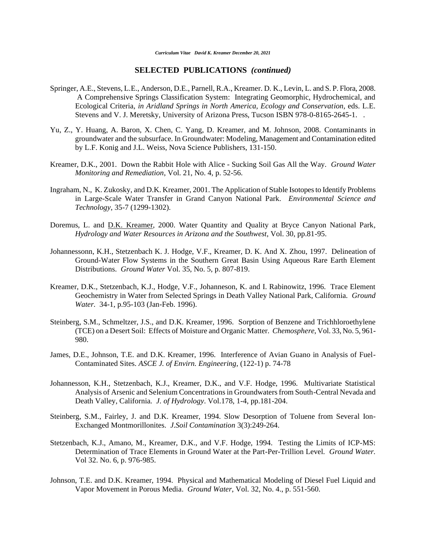- Springer, A.E., Stevens, L.E., Anderson, D.E., Parnell, R.A., Kreamer. D. K., Levin, L. and S. P. Flora, 2008. A Comprehensive Springs Classification System: Integrating Geomorphic, Hydrochemical, and Ecological Criteria, *in Aridland Springs in North America, Ecology and Conservation,* eds. L.E. Stevens and V. J. Meretsky, University of Arizona Press, Tucson ISBN 978-0-8165-2645-1. .
- Yu, Z., Y. Huang, A. Baron, X. Chen, C. Yang, D. Kreamer, and M. Johnson, 2008. Contaminants in groundwater and the subsurface. In Groundwater: Modeling, Management and Contamination edited by L.F. Konig and J.L. Weiss, Nova Science Publishers, 131-150.
- Kreamer, D.K., 2001. Down the Rabbit Hole with Alice Sucking Soil Gas All the Way*. Ground Water Monitoring and Remediation*, Vol. 21, No. 4, p. 52-56.
- Ingraham, N., K. Zukosky, and D.K. Kreamer, 2001. The Application of Stable Isotopes to Identify Problems in Large-Scale Water Transfer in Grand Canyon National Park. *Environmental Science and Technology*, 35-7 (1299-1302).
- Doremus, L. and D.K. Kreamer, 2000. Water Quantity and Quality at Bryce Canyon National Park*, Hydrology and Water Resources in Arizona and the Southwest*, Vol. 30, pp.81-95.
- Johannessonn, K.H., Stetzenbach K. J. Hodge, V.F., Kreamer, D. K. And X. Zhou, 1997. Delineation of Ground-Water Flow Systems in the Southern Great Basin Using Aqueous Rare Earth Element Distributions. *Ground Water* Vol. 35, No. 5, p. 807-819.
- Kreamer, D.K., Stetzenbach, K.J., Hodge, V.F., Johanneson, K. and I. Rabinowitz, 1996. Trace Element Geochemistry in Water from Selected Springs in Death Valley National Park, California. *Ground Water.* 34-1, p.95-103 (Jan-Feb. 1996).
- Steinberg, S.M., Schmeltzer, J.S., and D.K. Kreamer, 1996. Sorption of Benzene and Trichhloroethylene (TCE) on a Desert Soil: Effects of Moisture and Organic Matter. *Chemosphere*, Vol. 33, No. 5, 961- 980.
- James, D.E., Johnson, T.E. and D.K. Kreamer, 1996. Interference of Avian Guano in Analysis of Fuel-Contaminated Sites. *ASCE J. of Envirn. Engineering,* (122-1) p. 74-78
- Johannesson, K.H., Stetzenbach, K.J., Kreamer, D.K., and V.F. Hodge, 1996. Multivariate Statistical Analysis of Arsenic and Selenium Concentrations in Groundwaters from South-Central Nevada and Death Valley, California*. J. of Hydrology*. Vol.178, 1-4, pp.181-204.
- Steinberg, S.M., Fairley, J. and D.K. Kreamer, 1994. Slow Desorption of Toluene from Several Ion-Exchanged Montmorillonites. *J.Soil Contamination* 3(3):249-264.
- Stetzenbach, K.J., Amano, M., Kreamer, D.K., and V.F. Hodge, 1994. Testing the Limits of ICP-MS: Determination of Trace Elements in Ground Water at the Part-Per-Trillion Level. *Ground Water.* Vol 32. No. 6, p. 976-985.
- Johnson, T.E. and D.K. Kreamer, 1994. Physical and Mathematical Modeling of Diesel Fuel Liquid and Vapor Movement in Porous Media. *Ground Water*, Vol. 32, No. 4., p. 551-560.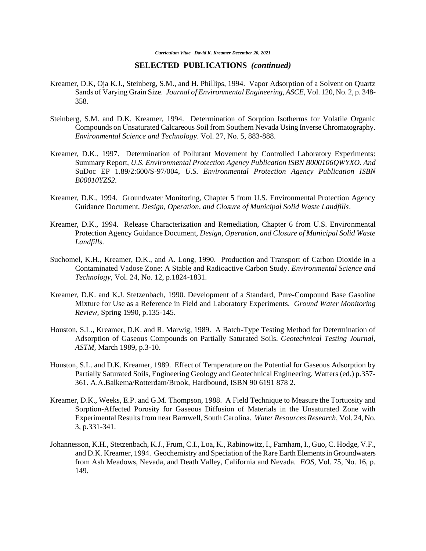*Curriculum Vitae David K. Kreamer December 20, 2021*

- Kreamer, D.K, Oja K.J., Steinberg, S.M., and H. Phillips, 1994. Vapor Adsorption of a Solvent on Quartz Sands of Varying Grain Size. *Journal of Environmental Engineering, ASCE,* Vol. 120, No. 2, p. 348- 358.
- Steinberg, S.M. and D.K. Kreamer, 1994. Determination of Sorption Isotherms for Volatile Organic Compounds on Unsaturated Calcareous Soil from Southern Nevada Using Inverse Chromatography. *Environmental Science and Technology*. Vol. 27, No. 5, 883-888.
- Kreamer, D.K., 1997. Determination of Pollutant Movement by Controlled Laboratory Experiments: Summary Report, *U.S. Environmental Protection Agency Publication ISBN B000106QWYXO. And*  SuDoc EP 1.89/2:600/S-97/004, *U.S. Environmental Protection Agency Publication ISBN B00010YZS2.*
- Kreamer, D.K., 1994. Groundwater Monitoring, Chapter 5 from U.S. Environmental Protection Agency Guidance Document, *Design, Operation, and Closure of Municipal Solid Waste Landfills*.
- Kreamer, D.K., 1994. Release Characterization and Remediation, Chapter 6 from U.S. Environmental Protection Agency Guidance Document, *Design, Operation, and Closure of Municipal Solid Waste Landfills*.
- Suchomel, K.H., Kreamer, D.K., and A. Long, 1990. Production and Transport of Carbon Dioxide in a Contaminated Vadose Zone: A Stable and Radioactive Carbon Study. *Environmental Science and Technology,* Vol. 24, No. 12, p.1824-1831.
- Kreamer, D.K. and K.J. Stetzenbach, 1990. Development of a Standard, Pure-Compound Base Gasoline Mixture for Use as a Reference in Field and Laboratory Experiments. *Ground Water Monitoring Review,* Spring 1990, p.135-145.
- Houston, S.L., Kreamer, D.K. and R. Marwig, 1989. A Batch-Type Testing Method for Determination of Adsorption of Gaseous Compounds on Partially Saturated Soils. *Geotechnical Testing Journal, ASTM,* March 1989, p.3-10.
- Houston, S.L. and D.K. Kreamer, 1989. Effect of Temperature on the Potential for Gaseous Adsorption by Partially Saturated Soils, Engineering Geology and Geotechnical Engineering, Watters (ed.) p.357- 361. A.A.Balkema/Rotterdam/Brook, Hardbound, ISBN 90 6191 878 2.
- Kreamer, D.K., Weeks, E.P. and G.M. Thompson, 1988. A Field Technique to Measure the Tortuosity and Sorption-Affected Porosity for Gaseous Diffusion of Materials in the Unsaturated Zone with Experimental Results from near Barnwell, South Carolina. *Water Resources Research,* Vol. 24, No. 3, p.331-341.
- Johannesson, K.H., Stetzenbach, K.J., Frum, C.I., Loa, K., Rabinowitz, I., Farnham, I., Guo, C. Hodge, V.F., and D.K. Kreamer, 1994. Geochemistry and Speciation of the Rare Earth Elements in Groundwaters from Ash Meadows, Nevada, and Death Valley, California and Nevada. *EOS,* Vol. 75, No. 16, p. 149.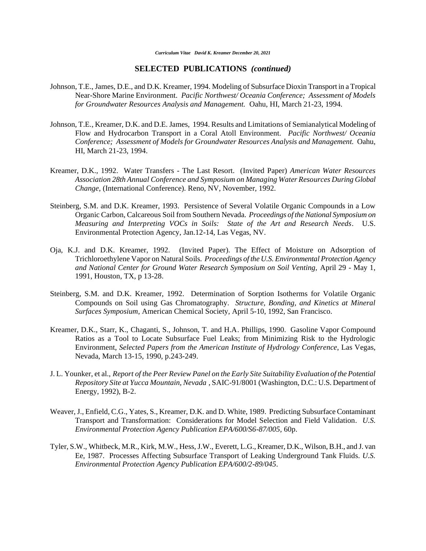- Johnson, T.E., James, D.E., and D.K. Kreamer, 1994. Modeling of Subsurface Dioxin Transport in a Tropical Near-Shore Marine Environment. *Pacific Northwest/ Oceania Conference; Assessment of Models for Groundwater Resources Analysis and Management.* Oahu, HI, March 21-23, 1994.
- Johnson, T.E., Kreamer, D.K. and D.E. James, 1994. Results and Limitations of Semianalytical Modeling of Flow and Hydrocarbon Transport in a Coral Atoll Environment. *Pacific Northwest/ Oceania Conference; Assessment of Models for Groundwater Resources Analysis and Management.* Oahu, HI, March 21-23, 1994.
- Kreamer, D.K., 1992. Water Transfers The Last Resort. (Invited Paper) *American Water Resources Association 28th Annual Conference and Symposium on Managing Water Resources During Global Change*, (International Conference). Reno, NV, November, 1992.
- Steinberg, S.M. and D.K. Kreamer, 1993. Persistence of Several Volatile Organic Compounds in a Low Organic Carbon, Calcareous Soil from Southern Nevada. *Proceedings of the National Symposium on Measuring and Interpreting VOCs in Soils: State of the Art and Research Needs*. U.S. Environmental Protection Agency, Jan.12-14, Las Vegas, NV.
- Oja, K.J. and D.K. Kreamer, 1992. (Invited Paper). The Effect of Moisture on Adsorption of Trichloroethylene Vapor on Natural Soils. *Proceedings of the U.S. Environmental Protection Agency and National Center for Ground Water Research Symposium on Soil Venting,* April 29 - May 1, 1991, Houston, TX, p 13-28.
- Steinberg, S.M. and D.K. Kreamer, 1992. Determination of Sorption Isotherms for Volatile Organic Compounds on Soil using Gas Chromatography. *Structure, Bonding, and Kinetics at Mineral Surfaces Symposium*, American Chemical Society, April 5-10, 1992, San Francisco.
- Kreamer, D.K., Starr, K., Chaganti, S., Johnson, T. and H.A. Phillips, 1990. Gasoline Vapor Compound Ratios as a Tool to Locate Subsurface Fuel Leaks; from Minimizing Risk to the Hydrologic Environment, *Selected Papers from the American Institute of Hydrology Conference*, Las Vegas, Nevada, March 13-15, 1990, p.243-249.
- J. L. Younker, et al., *Report of the Peer Review Panel on the Early Site Suitability Evaluation of the Potential Repository Site at Yucca Mountain, Nevada* , SAIC-91/8001 (Washington, D.C.: U.S. Department of Energy, 1992), B-2.
- Weaver, J., Enfield, C.G., Yates, S., Kreamer, D.K. and D. White, 1989. Predicting Subsurface Contaminant Transport and Transformation: Considerations for Model Selection and Field Validation. *U.S. Environmental Protection Agency Publication EPA/600/S6-87/005,* 60p.
- Tyler, S.W., Whitbeck, M.R., Kirk, M.W., Hess, J.W., Everett, L.G., Kreamer, D.K., Wilson, B.H., and J. van Ee, 1987. Processes Affecting Subsurface Transport of Leaking Underground Tank Fluids. *U.S. Environmental Protection Agency Publication EPA/600/2-89/045*.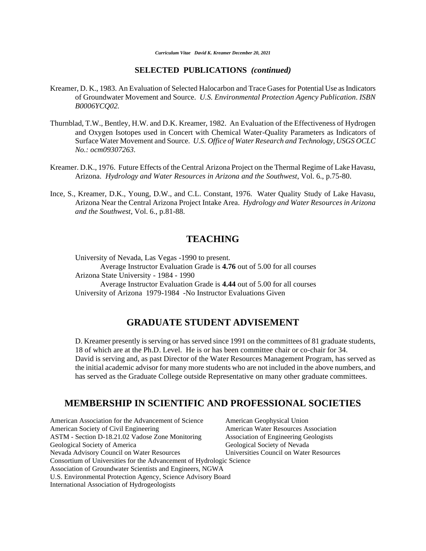- Kreamer, D. K., 1983. An Evaluation of Selected Halocarbon and Trace Gases for Potential Use as Indicators of Groundwater Movement and Source. *U.S. Environmental Protection Agency Publication*. *ISBN B0006YCQ02.*
- Thurnblad, T.W., Bentley, H.W. and D.K. Kreamer, 1982. An Evaluation of the Effectiveness of Hydrogen and Oxygen Isotopes used in Concert with Chemical Water-Quality Parameters as Indicators of Surface Water Movement and Source. *U.S. Office of Water Research and Technology, USGS OCLC No.: ocm09307263.*
- Kreamer. D.K., 1976. Future Effects of the Central Arizona Project on the Thermal Regime of Lake Havasu, Arizona. *Hydrology and Water Resources in Arizona and the Southwest*, Vol. 6., p.75-80.
- Ince, S., Kreamer, D.K., Young, D.W., and C.L. Constant, 1976. Water Quality Study of Lake Havasu, Arizona Near the Central Arizona Project Intake Area. *Hydrology and Water Resources in Arizona and the Southwest*, Vol. 6., p.81-88.

#### **TEACHING**

University of Nevada, Las Vegas -1990 to present. Average Instructor Evaluation Grade is **4.76** out of 5.00 for all courses Arizona State University - 1984 - 1990 Average Instructor Evaluation Grade is **4.44** out of 5.00 for all courses University of Arizona 1979-1984 -No Instructor Evaluations Given

## **GRADUATE STUDENT ADVISEMENT**

D. Kreamer presently is serving or has served since 1991 on the committees of 81 graduate students, 18 of which are at the Ph.D. Level. He is or has been committee chair or co-chair for 34. David is serving and, as past Director of the Water Resources Management Program, has served as the initial academic advisor for many more students who are not included in the above numbers, and has served as the Graduate College outside Representative on many other graduate committees.

### **MEMBERSHIP IN SCIENTIFIC AND PROFESSIONAL SOCIETIES**

American Association for the Advancement of Science American Geophysical Union American Society of Civil Engineering American Water Resources Association ASTM - Section D-18.21.02 Vadose Zone Monitoring Association of Engineering Geologists Geological Society of America Geological Society of Nevada Nevada Advisory Council on Water Resources Universities Council on Water Resources Consortium of Universities for the Advancement of Hydrologic Science Association of Groundwater Scientists and Engineers, NGWA U.S. Environmental Protection Agency, Science Advisory Board International Association of Hydrogeologists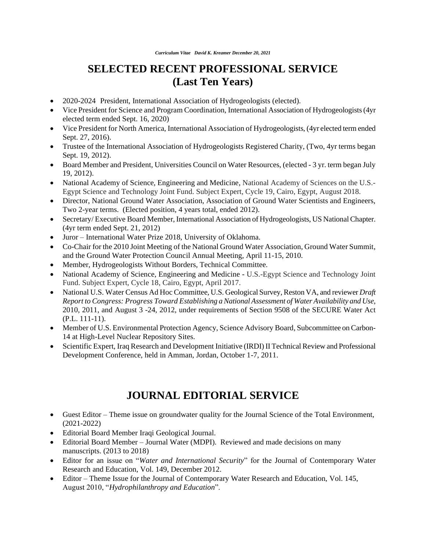# **SELECTED RECENT PROFESSIONAL SERVICE (Last Ten Years)**

- 2020-2024 President, International Association of Hydrogeologists (elected).
- Vice President for Science and Program Coordination, International Association of Hydrogeologists (4yr elected term ended Sept. 16, 2020)
- Vice President for North America, International Association of Hydrogeologists, (4yr elected term ended Sept. 27, 2016).
- Trustee of the International Association of Hydrogeologists Registered Charity, (Two, 4yr terms began Sept. 19, 2012).
- Board Member and President, Universities Council on Water Resources, (elected 3 yr. term began July 19, 2012).
- National Academy of Science, Engineering and Medicine, National Academy of Sciences on the U.S.- Egypt Science and Technology Joint Fund. Subject Expert, Cycle 19, Cairo, Egypt, August 2018.
- Director, National Ground Water Association, Association of Ground Water Scientists and Engineers, Two 2-year terms. (Elected position, 4 years total, ended 2012).
- Secretary/ Executive Board Member, International Association of Hydrogeologists, US NationalChapter. (4yr term ended Sept. 21, 2012)
- Juror International Water Prize 2018, University of Oklahoma.
- Co-Chair for the 2010 Joint Meeting of the National Ground Water Association, Ground Water Summit, and the Ground Water Protection Council Annual Meeting, April 11-15, 2010.
- Member, Hydrogeologists Without Borders, Technical Committee.
- National Academy of Science, Engineering and Medicine U.S.-Egypt Science and Technology Joint Fund. Subject Expert, Cycle 18, Cairo, Egypt, April 2017.
- National U.S. Water Census Ad Hoc Committee, U.S. Geological Survey, Reston VA, and reviewer *Draft Report to Congress: Progress Toward Establishing a National Assessment of Water Availability and Use*, 2010, 2011, and August 3 -24, 2012, under requirements of Section 9508 of the SECURE Water Act (P.L. 111-11).
- Member of U.S. Environmental Protection Agency, Science Advisory Board, Subcommittee on Carbon-14 at High-Level Nuclear Repository Sites.
- Scientific Expert, Iraq Research and Development Initiative (IRDI) II Technical Review and Professional Development Conference, held in Amman, Jordan, October 1-7, 2011.

# **JOURNAL EDITORIAL SERVICE**

- Guest Editor Theme issue on groundwater quality for the Journal Science of the Total Environment, (2021-2022)
- Editorial Board Member Iraqi Geological Journal.
- Editorial Board Member Journal Water (MDPI). Reviewed and made decisions on many manuscripts. (2013 to 2018)
- Editor for an issue on "*Water and International Security*" for the Journal of Contemporary Water Research and Education, Vol. 149, December 2012.
- Editor Theme Issue for the Journal of Contemporary Water Research and Education, Vol. 145, August 2010, "*Hydrophilanthropy and Education*".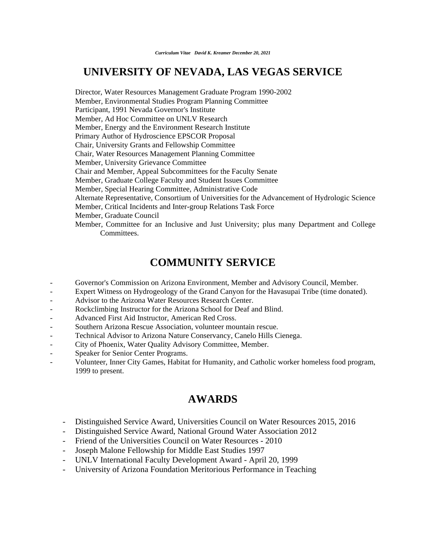# **UNIVERSITY OF NEVADA, LAS VEGAS SERVICE**

Director, Water Resources Management Graduate Program 1990-2002 Member, Environmental Studies Program Planning Committee Participant, 1991 Nevada Governor's Institute Member, Ad Hoc Committee on UNLV Research Member, Energy and the Environment Research Institute Primary Author of Hydroscience EPSCOR Proposal Chair, University Grants and Fellowship Committee Chair, Water Resources Management Planning Committee Member, University Grievance Committee Chair and Member, Appeal Subcommittees for the Faculty Senate Member, Graduate College Faculty and Student Issues Committee Member, Special Hearing Committee, Administrative Code Alternate Representative, Consortium of Universities for the Advancement of Hydrologic Science Member, Critical Incidents and Inter-group Relations Task Force Member, Graduate Council Member, Committee for an Inclusive and Just University; plus many Department and College Committees.

# **COMMUNITY SERVICE**

- Governor's Commission on Arizona Environment, Member and Advisory Council, Member.
- Expert Witness on Hydrogeology of the Grand Canyon for the Havasupai Tribe (time donated).
- Advisor to the Arizona Water Resources Research Center.
- Rockclimbing Instructor for the Arizona School for Deaf and Blind.
- Advanced First Aid Instructor, American Red Cross.
- Southern Arizona Rescue Association, volunteer mountain rescue.
- Technical Advisor to Arizona Nature Conservancy, Canelo Hills Cienega.
- City of Phoenix, Water Quality Advisory Committee, Member.
- Speaker for Senior Center Programs.
- Volunteer, Inner City Games, Habitat for Humanity, and Catholic worker homeless food program, 1999 to present.

# **AWARDS**

- Distinguished Service Award, Universities Council on Water Resources 2015, 2016
- Distinguished Service Award, National Ground Water Association 2012
- Friend of the Universities Council on Water Resources 2010
- Joseph Malone Fellowship for Middle East Studies 1997
- UNLV International Faculty Development Award April 20, 1999
- University of Arizona Foundation Meritorious Performance in Teaching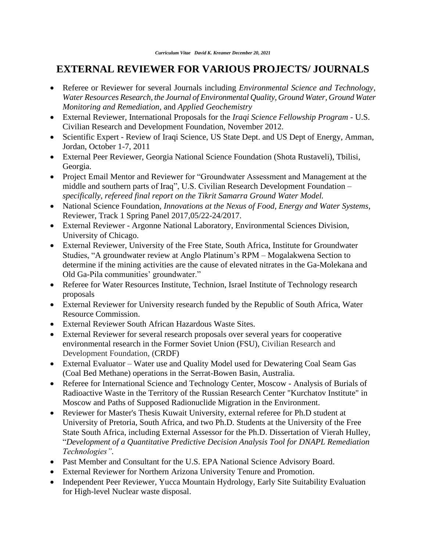# **EXTERNAL REVIEWER FOR VARIOUS PROJECTS/ JOURNALS**

- Referee or Reviewer for several Journals including *Environmental Science and Technology, Water Resources Research, the Journal of Environmental Quality, Ground Water, Ground Water Monitoring and Remediation,* and *Applied Geochemistry*
- External Reviewer, International Proposals for the *Iraqi Science Fellowship Program -* U.S. Civilian Research and Development Foundation, November 2012.
- Scientific Expert Review of Iraqi Science, US State Dept. and US Dept of Energy, Amman, Jordan, October 1-7, 2011
- External Peer Reviewer, Georgia National Science Foundation (Shota Rustaveli), Tbilisi, Georgia.
- Project Email Mentor and Reviewer for "Groundwater Assessment and Management at the middle and southern parts of Iraq", U.S. Civilian Research Development Foundation – *specifically, refereed final report on the Tikrit Samarra Ground Water Model.*
- National Science Foundation, *[Innovations at the Nexus of Food, Energy and Water Systems,](https://www.nsf.gov/funding/pgm_summ.jsp?pims_id=505241)* Reviewer, Track 1 Spring Panel 2017,05/22-24/2017.
- External Reviewer Argonne National Laboratory, Environmental Sciences Division, University of Chicago.
- External Reviewer, University of the Free State, South Africa, Institute for Groundwater Studies, "A groundwater review at Anglo Platinum's RPM – Mogalakwena Section to determine if the mining activities are the cause of elevated nitrates in the Ga-Molekana and Old Ga-Pila communities' groundwater."
- Referee for Water Resources Institute, Technion, Israel Institute of Technology research proposals
- External Reviewer for University research funded by the Republic of South Africa, Water Resource Commission.
- External Reviewer South African Hazardous Waste Sites.
- External Reviewer for several research proposals over several years for cooperative environmental research in the Former Soviet Union (FSU), Civilian Research and Development Foundation, (CRDF)
- External Evaluator Water use and Quality Model used for Dewatering Coal Seam Gas (Coal Bed Methane) operations in the Serrat-Bowen Basin, Australia.
- Referee for International Science and Technology Center, Moscow Analysis of Burials of Radioactive Waste in the Territory of the Russian Research Center "Kurchatov Institute" in Moscow and Paths of Supposed Radionuclide Migration in the Environment.
- Reviewer for Master's Thesis Kuwait University, external referee for Ph.D student at University of Pretoria, South Africa, and two Ph.D. Students at the University of the Free State South Africa, including External Assessor for the Ph.D. Dissertation of Vierah Hulley, "*Development of a Quantitative Predictive Decision Analysis Tool for DNAPL Remediation Technologies".*
- Past Member and Consultant for the U.S. EPA National Science Advisory Board.
- External Reviewer for Northern Arizona University Tenure and Promotion.
- Independent Peer Reviewer, Yucca Mountain Hydrology, Early Site Suitability Evaluation for High-level Nuclear waste disposal.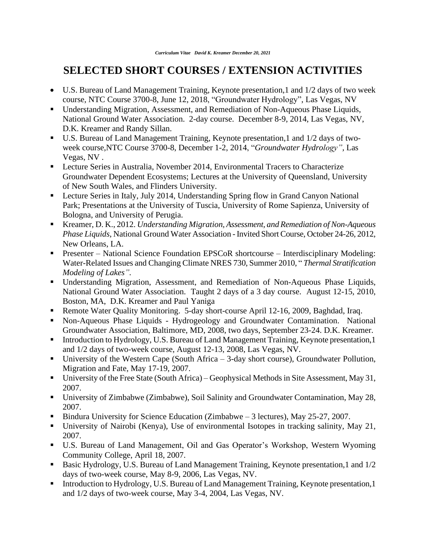# **SELECTED SHORT COURSES / EXTENSION ACTIVITIES**

- U.S. Bureau of Land Management Training, Keynote presentation,1 and 1/2 days of two week course, NTC Course 3700-8, June 12, 2018, "Groundwater Hydrology", Las Vegas, NV
- Understanding Migration, Assessment, and Remediation of Non-Aqueous Phase Liquids, National Ground Water Association. 2-day course. December 8-9, 2014, Las Vegas, NV, D.K. Kreamer and Randy Sillan.
- U.S. Bureau of Land Management Training, Keynote presentation, 1 and  $1/2$  days of twoweek course,NTC Course 3700-8, December 1-2, 2014, "*Groundwater Hydrology",* Las Vegas, NV .
- **EXECTE:** Lecture Series in Australia, November 2014, Environmental Tracers to Characterize Groundwater Dependent Ecosystems; Lectures at the University of Queensland, University of New South Wales, and Flinders University.
- Lecture Series in Italy, July 2014, Understanding Spring flow in Grand Canyon National Park; Presentations at the University of Tuscia, University of Rome Sapienza, University of Bologna, and University of Perugia.
- Kreamer, D. K., 2012. *Understanding Migration, Assessment, and Remediation of Non-Aqueous Phase Liquids*, National Ground Water Association - Invited Short Course, October 24-26, 2012, New Orleans, LA.
- Presenter National Science Foundation EPSCoR shortcourse Interdisciplinary Modeling: Water-Related Issues and Changing Climate NRES 730, Summer 2010, " *Thermal Stratification Modeling of Lakes".*
- Understanding Migration, Assessment, and Remediation of Non-Aqueous Phase Liquids, National Ground Water Association. Taught 2 days of a 3 day course. August 12-15, 2010, Boston, MA, D.K. Kreamer and Paul Yaniga
- Remote Water Quality Monitoring. 5-day short-course April 12-16, 2009, Baghdad, Iraq.
- Non-Aqueous Phase Liquids Hydrogeology and Groundwater Contamination. National Groundwater Association, Baltimore, MD, 2008, two days, September 23-24. D.K. Kreamer.
- Introduction to Hydrology, U.S. Bureau of Land Management Training, Keynote presentation, 1 and 1/2 days of two-week course, August 12-13, 2008, Las Vegas, NV.
- University of the Western Cape (South Africa 3-day short course), Groundwater Pollution, Migration and Fate, May 17-19, 2007.
- University of the Free State (South Africa) Geophysical Methods in Site Assessment, May 31, 2007.
- University of Zimbabwe (Zimbabwe), Soil Salinity and Groundwater Contamination, May 28, 2007.
- Bindura University for Science Education (Zimbabwe 3 lectures), May 25-27, 2007.
- University of Nairobi (Kenya), Use of environmental Isotopes in tracking salinity, May 21, 2007.
- U.S. Bureau of Land Management, Oil and Gas Operator's Workshop, Western Wyoming Community College, April 18, 2007.
- Basic Hydrology, U.S. Bureau of Land Management Training, Keynote presentation,1 and 1/2 days of two-week course, May 8-9, 2006, Las Vegas, NV.
- Introduction to Hydrology, U.S. Bureau of Land Management Training, Keynote presentation, 1 and 1/2 days of two-week course, May 3-4, 2004, Las Vegas, NV.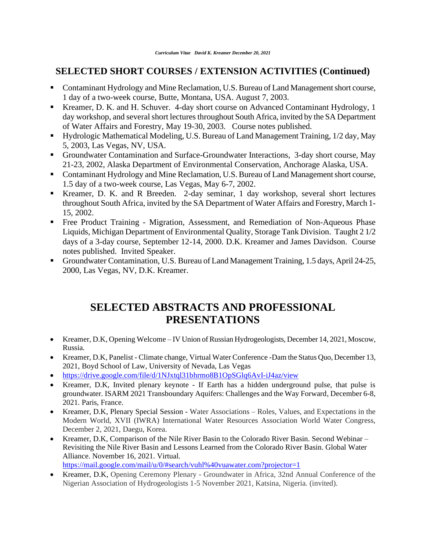## **SELECTED SHORT COURSES / EXTENSION ACTIVITIES (Continued)**

- Contaminant Hydrology and Mine Reclamation, U.S. Bureau of Land Management short course, 1 day of a two-week course, Butte, Montana, USA. August 7, 2003.
- Kreamer, D. K. and H. Schuver. 4-day short course on Advanced Contaminant Hydrology, 1 day workshop, and several short lectures throughout South Africa, invited by the SA Department of Water Affairs and Forestry, May 19-30, 2003. Course notes published.
- Hydrologic Mathematical Modeling, U.S. Bureau of Land Management Training, 1/2 day, May 5, 2003, Las Vegas, NV, USA.
- Groundwater Contamination and Surface-Groundwater Interactions, 3-day short course, May 21-23, 2002, Alaska Department of Environmental Conservation, Anchorage Alaska, USA.
- Contaminant Hydrology and Mine Reclamation, U.S. Bureau of Land Management short course, 1.5 day of a two-week course, Las Vegas, May 6-7, 2002.
- Kreamer, D. K. and R Breeden. 2-day seminar, 1 day workshop, several short lectures throughout South Africa, invited by the SA Department of Water Affairs and Forestry, March 1- 15, 2002.
- Free Product Training Migration, Assessment, and Remediation of Non-Aqueous Phase Liquids, Michigan Department of Environmental Quality, Storage Tank Division. Taught 2 1/2 days of a 3-day course, September 12-14, 2000. D.K. Kreamer and James Davidson. Course notes published. Invited Speaker.
- Groundwater Contamination, U.S. Bureau of Land Management Training, 1.5 days, April 24-25, 2000, Las Vegas, NV, D.K. Kreamer.

# **SELECTED ABSTRACTS AND PROFESSIONAL PRESENTATIONS**

- Kreamer, D.K, Opening Welcome IV Union of Russian Hydrogeologists, December 14, 2021, Moscow, Russia.
- Kreamer, D.K, Panelist Climate change, Virtual Water Conference -Dam the Status Quo, December 13, 2021, Boyd School of Law, University of Nevada, Las Vegas
- <https://drive.google.com/file/d/1NJxtql31bhrmo8B1OpSGlq6AvI-iJ4az/view>
- Kreamer, D.K, Invited plenary keynote If Earth has a hidden underground pulse, that pulse is groundwater. ISARM 2021 Transboundary Aquifers: Challenges and the Way Forward, December 6-8, 2021. Paris, France.
- Kreamer, D.K, Plenary Special Session Water Associations Roles, Values, and Expectations in the Modern World, XVII (IWRA) International Water Resources Association World Water Congress, December 2, 2021, Daegu, Korea.
- Kreamer, D.K, Comparison of the Nile River Basin to the Colorado River Basin. Second Webinar Revisiting the Nile River Basin and Lessons Learned from the Colorado River Basin. Global Water Alliance. November 16, 2021. Virtual.

<https://mail.google.com/mail/u/0/#search/vuhl%40vuawater.com?projector=1>

• Kreamer, D.K, Opening Ceremony Plenary - Groundwater in Africa, 32nd Annual Conference of the Nigerian Association of Hydrogeologists 1-5 November 2021, Katsina, Nigeria. (invited).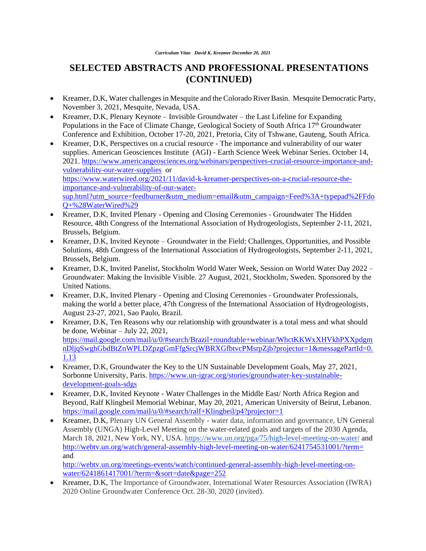- Kreamer, D.K, Water challenges in Mesquite and the Colorado River Basin. Mesquite Democratic Party, November 3, 2021, Mesquite, Nevada, USA.
- Kreamer, D.K, Plenary Keynote Invisible Groundwater the Last Lifeline for Expanding Populations in the Face of Climate Change, Geological Society of South Africa 17<sup>th</sup> Groundwater Conference and Exhibition, October 17-20, 2021, Pretoria, City of Tshwane, Gauteng, South Africa.
- Kreamer, D.K, Perspectives on a crucial resource The importance and vulnerability of our water supplies. American Geosciences Institute (AGI) - Earth Science Week Webinar Series. October 14, 2021. [https://www.americangeosciences.org/webinars/perspectives-crucial-resource-importance-and](https://www.americangeosciences.org/webinars/perspectives-crucial-resource-importance-and-vulnerability-our-water-supplies)[vulnerability-our-water-supplies](https://www.americangeosciences.org/webinars/perspectives-crucial-resource-importance-and-vulnerability-our-water-supplies) or [https://www.waterwired.org/2021/11/david-k-kreamer-perspectives-on-a-crucial-resource-the](https://www.waterwired.org/2021/11/david-k-kreamer-perspectives-on-a-crucial-resource-the-importance-and-vulnerability-of-our-water-sup.html?utm_source=feedburner&utm_medium=email&utm_campaign=Feed%3A+typepad%2FFdoQ+%28WaterWired%29)[importance-and-vulnerability-of-our-water](https://www.waterwired.org/2021/11/david-k-kreamer-perspectives-on-a-crucial-resource-the-importance-and-vulnerability-of-our-water-sup.html?utm_source=feedburner&utm_medium=email&utm_campaign=Feed%3A+typepad%2FFdoQ+%28WaterWired%29)[sup.html?utm\\_source=feedburner&utm\\_medium=email&utm\\_campaign=Feed%3A+typepad%2FFdo](https://www.waterwired.org/2021/11/david-k-kreamer-perspectives-on-a-crucial-resource-the-importance-and-vulnerability-of-our-water-sup.html?utm_source=feedburner&utm_medium=email&utm_campaign=Feed%3A+typepad%2FFdoQ+%28WaterWired%29) [Q+%28WaterWired%29](https://www.waterwired.org/2021/11/david-k-kreamer-perspectives-on-a-crucial-resource-the-importance-and-vulnerability-of-our-water-sup.html?utm_source=feedburner&utm_medium=email&utm_campaign=Feed%3A+typepad%2FFdoQ+%28WaterWired%29)
- Kreamer, D.K, Invited Plenary Opening and Closing Ceremonies Groundwater The Hidden Resource, 48th Congress of the International Association of Hydrogeologists, September 2-11, 2021, Brussels, Belgium.
- Kreamer, D.K, Invited Keynote Groundwater in the Field: Challenges, Opportunities, and Possible Solutions, 48th Congress of the International Association of Hydrogeologists, September 2-11, 2021, Brussels, Belgium.
- Kreamer, D.K, Invited Panelist, Stockholm World Water Week, Session on World Water Day 2022 Groundwater: Making the Invisible Visible. 27 August, 2021, Stockholm, Sweden. Sponsored by the United Nations.
- Kreamer, D.K, Invited Plenary Opening and Closing Ceremonies Groundwater Professionals, making the world a better place, 47th Congress of the International Association of Hydrogeologists, August 23-27, 2021, Sao Paulo, Brazil.
- Kreamer, D.K, Ten Reasons why our relationship with groundwater is a total mess and what should be done, Webinar – July 22, 2021, [https://mail.google.com/mail/u/0/#search/Brazil+roundtable+webinar/WhctKKWxXHVkhPXXpdgm](https://mail.google.com/mail/u/0/#search/Brazil+roundtable+webinar/WhctKKWxXHVkhPXXpdgmnDljqSwghGbdBtZnWPLDZpzgGmFfgSrcjWBRXGfbtvcPMsrpZjb?projector=1&messagePartId=0.1.13) [nDljqSwghGbdBtZnWPLDZpzgGmFfgSrcjWBRXGfbtvcPMsrpZjb?projector=1&messagePartId=0.](https://mail.google.com/mail/u/0/#search/Brazil+roundtable+webinar/WhctKKWxXHVkhPXXpdgmnDljqSwghGbdBtZnWPLDZpzgGmFfgSrcjWBRXGfbtvcPMsrpZjb?projector=1&messagePartId=0.1.13) [1.13](https://mail.google.com/mail/u/0/#search/Brazil+roundtable+webinar/WhctKKWxXHVkhPXXpdgmnDljqSwghGbdBtZnWPLDZpzgGmFfgSrcjWBRXGfbtvcPMsrpZjb?projector=1&messagePartId=0.1.13)
- Kreamer, D.K, Groundwater the Key to the UN Sustainable Development Goals, May 27, 2021, Sorbonne University, Paris. [https://www.un-igrac.org/stories/groundwater-key-sustainable](https://www.un-igrac.org/stories/groundwater-key-sustainable-development-goals-sdgs)[development-goals-sdgs](https://www.un-igrac.org/stories/groundwater-key-sustainable-development-goals-sdgs)
- Kreamer, D.K, Invited Keynote Water Challenges in the Middle East/ North Africa Region and Beyond, Ralf Klingbeil Memorial Webinar, May 20, 2021, American University of Beirut, Lebanon. <https://mail.google.com/mail/u/0/#search/ralf+Klingbeil/p4?projector=1>
- Kreamer, D.K, Plenary UN General Assembly water data, information and governance, UN General Assembly (UNGA) High-Level Meeting on the water-related goals and targets of the 2030 Agenda, March 18, 2021, New York, NY, USA. <https://www.un.org/pga/75/high-level-meeting-on-water/> and <http://webtv.un.org/watch/general-assembly-high-level-meeting-on-water/6241754531001/?term=> and

[http://webtv.un.org/meetings-events/watch/continued-general-assembly-high-level-meeting-on](http://webtv.un.org/meetings-events/watch/continued-general-assembly-high-level-meeting-on-water/6241861417001/?term=&sort=date&page=252)[water/6241861417001/?term=&sort=date&page=252](http://webtv.un.org/meetings-events/watch/continued-general-assembly-high-level-meeting-on-water/6241861417001/?term=&sort=date&page=252)

• Kreamer, D.K, The Importance of Groundwater, International Water Resources Association (IWRA) 2020 Online Groundwater Conference Oct. 28-30, 2020 (invited).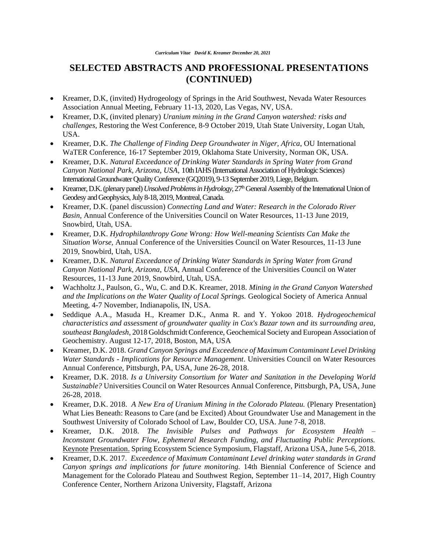- Kreamer, D.K, (invited) Hydrogeology of Springs in the Arid Southwest, Nevada Water Resources Association Annual Meeting, February 11-13, 2020, Las Vegas, NV, USA.
- Kreamer, D.K, (invited plenary) *Uranium mining in the Grand Canyon watershed: risks and challenges,* Restoring the West Conference, 8-9 October 2019, Utah State University, Logan Utah, USA.
- Kreamer, D.K. *The Challenge of Finding Deep Groundwater in Niger, Africa*, OU International WaTER Conference, 16-17 September 2019, Oklahoma State University, Norman OK, USA.
- Kreamer, D.K. *Natural Exceedance of Drinking Water Standards in Spring Water from Grand Canyon National Park, Arizona, USA*, 10th IAHS(International Association of Hydrologic Sciences) International Groundwater Quality Conference (GQ2019),9-13 September 2019, Liege, Belgium.
- Kreamer, D.K. (plenary panel) *Unsolved Problems in Hydrology,*27thGeneral Assembly of the International Union of Geodesy and Geophysics, July 8-18, 2019, Montreal, Canada.
- Kreamer, D.K. (panel discussion) *Connecting Land and Water: Research in the Colorado River Basin,* Annual Conference of the Universities Council on Water Resources, 11-13 June 2019, Snowbird, Utah, USA.
- Kreamer, D.K. *Hydrophilanthropy Gone Wrong: How Well-meaning Scientists Can Make the Situation Worse,* Annual Conference of the Universities Council on Water Resources, 11-13 June 2019, Snowbird, Utah, USA.
- Kreamer, D.K. *Natural Exceedance of Drinking Water Standards in Spring Water from Grand Canyon National Park, Arizona, USA*, Annual Conference of the Universities Council on Water Resources, 11-13 June 2019, Snowbird, Utah, USA.
- Wachholtz J., Paulson, G., Wu, C. and D.K. Kreamer, 2018. *Mining in the Grand Canyon Watershed and the Implications on the Water Quality of Local Springs.* Geological Society of America Annual Meeting, 4-7 November, Indianapolis, IN, USA.
- Seddique A.A., Masuda H., Kreamer D.K., Anma R. and Y. Yokoo 2018. *Hydrogeochemical characteristics and assessment of groundwater quality in Cox's Bazar town and its surrounding area, southeast Bangladesh,* 2018 GoldschmidtConference, Geochemical Society and European Association of Geochemistry. August 12-17, 2018, Boston, MA, USA
- Kreamer, D.K. 2018. *Grand Canyon Springs and Exceedence of Maximum Contaminant Level Drinking Water Standards - Implications for Resource Management*. Universities Council on Water Resources Annual Conference, Pittsburgh, PA, USA, June 26-28, 2018.
- Kreamer, D.K. 2018. *Is a University Consortium for Water and Sanitation in the Developing World Sustainable?* Universities Council on Water Resources Annual Conference, Pittsburgh, PA, USA, June 26-28, 2018.
- Kreamer, D.K. 2018. *A New Era of Uranium Mining in the Colorado Plateau.* (Plenary Presentation) What Lies Beneath: Reasons to Care (and be Excited) About Groundwater Use and Management in the Southwest University of Colorado School of Law, Boulder CO, USA. June 7-8, 2018.
- Kreamer, D.K. 2018. *The Invisible Pulses and Pathways for Ecosystem Health – Inconstant Groundwater Flow, Ephemeral Research Funding, and Fluctuating Public Perceptions.*  Keynote Presentation. Spring Ecosystem Science Symposium, Flagstaff, Arizona USA, June 5-6, 2018.
- Kreamer, D.K. 2017. *Exceedence of Maximum Contaminant Level drinking water standards in Grand Canyon springs and implications for future monitoring.* 14th Biennial Conference of Science and Management for the Colorado Plateau and Southwest Region, September 11–14, 2017, High Country Conference Center, Northern Arizona University, Flagstaff, Arizona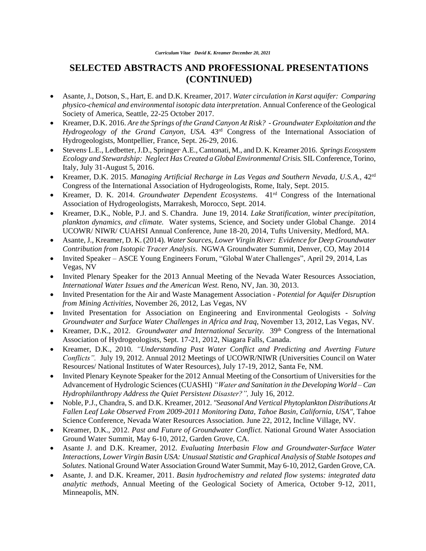- Asante, J., Dotson, S., Hart, E. and D.K. Kreamer, 2017. *Water circulation in Karst aquifer: Comparing physico-chemical and environmental isotopic data interpretation*. Annual Conference of the Geological Society of America, Seattle, 22-25 October 2017.
- Kreamer, D.K. 2016. *Are the Springs of the Grand Canyon At Risk? - Groundwater Exploitation and the Hydrogeology of the Grand Canyon, USA.* 43rd Congress of the International Association of Hydrogeologists, Montpellier, France, Sept. 26-29, 2016.
- Stevens , L.E., Ledbetter, J.D., Springer, A.E., Cantonati, M., and D. K. Kreamer 2016. *Springs Ecosystem Ecology and Stewardship: Neglect Has Created a Global Environmental Crisis.* SIL Conference, Torino, Italy, July 31-August 5, 2016.
- Kreamer, D.K. 2015. *Managing Artificial Recharge in Las Vegas and Southern Nevada, U.S.A.*, 42rd Congress of the International Association of Hydrogeologists, Rome, Italy, Sept. 2015.
- Kreamer, D. K. 2014. *Groundwater Dependent Ecosystems*. 41rd Congress of the International Association of Hydrogeologists, Marrakesh, Morocco, Sept. 2014.
- Kreamer, D.K., Noble, P.J. and S. Chandra. June 19, 2014*. Lake Stratification, winter precipitation, plankton dynamics, and climate.* Water systems, Science, and Society under Global Change. 2014 UCOWR/ NIWR/ CUAHSI Annual Conference, June 18-20, 2014, Tufts University, Medford, MA.
- Asante, J., Kreamer, D. K. (2014). *Water Sources, Lower Virgin River: Evidence for Deep Groundwater Contribution from Isotopic Tracer Analysis*. NGWA Groundwater Summit, Denver, CO, May 2014
- Invited Speaker ASCE Young Engineers Forum, "Global Water Challenges", April 29, 2014, Las Vegas, NV
- Invited Plenary Speaker for the 2013 Annual Meeting of the Nevada Water Resources Association, *International Water Issues and the American West.* Reno, NV, Jan. 30, 2013.
- Invited Presentation for the Air and Waste Management Association *Potential for Aquifer Disruption from Mining Activities,* November 26, 2012, Las Vegas, NV
- Invited Presentation for Association on Engineering and Environmental Geologists *Solving Groundwater and Surface Water Challenges in Africa and Iraq*, November 13, 2012, Las Vegas, NV.
- Kreamer, D.K., 2012. *Groundwater and International Security.* 39<sup>th</sup> Congress of the International Association of Hydrogeologists, Sept. 17-21, 2012, Niagara Falls, Canada.
- Kreamer, D.K., 2010. *"Understanding Past Water Conflict and Predicting and Averting Future Conflicts".* July 19, 2012. Annual 2012 Meetings of UCOWR/NIWR (Universities Council on Water Resources/ National Institutes of Water Resources), July 17-19, 2012, Santa Fe, NM.
- Invited Plenary Keynote Speaker for the 2012 Annual Meeting of the Consortium of Universities for the Advancement of Hydrologic Sciences (CUASHI) *"Water and Sanitation in the Developing World – Can Hydrophilanthropy Address the Quiet Persistent Disaster?",* July 16, 2012.
- Noble, P.J., Chandra, S. and D.K. Kreamer, 2012. *"Seasonal And Vertical Phytoplankton Distributions At Fallen Leaf Lake Observed From 2009-2011 Monitoring Data, Tahoe Basin, California, USA",* Tahoe Science Conference, Nevada Water Resources Association. June 22, 2012, Incline Village, NV.
- Kreamer, D.K., 2012. *Past and Future of Groundwater Conflict.* National Ground Water Association Ground Water Summit, May 6-10, 2012, Garden Grove, CA.
- Asante J. and D.K. Kreamer, 2012. *Evaluating Interbasin Flow and Groundwater-Surface Water Interactions, Lower Virgin Basin USA: Unusual Statistic and Graphical Analysis of Stable Isotopes and Solutes.* National Ground Water Association Ground Water Summit, May 6-10, 2012, Garden Grove, CA.
- Asante, J. and D.K. Kreamer, 2011. *[Basin hydrochemistry and related flow systems: integrated data](http://gsa.confex.com/gsa/2011AM/finalprogram/abstract_195734.htm)  [analytic methods,](http://gsa.confex.com/gsa/2011AM/finalprogram/abstract_195734.htm)* Annual Meeting of the Geological Society of America, October 9-12, 2011, Minneapolis, MN.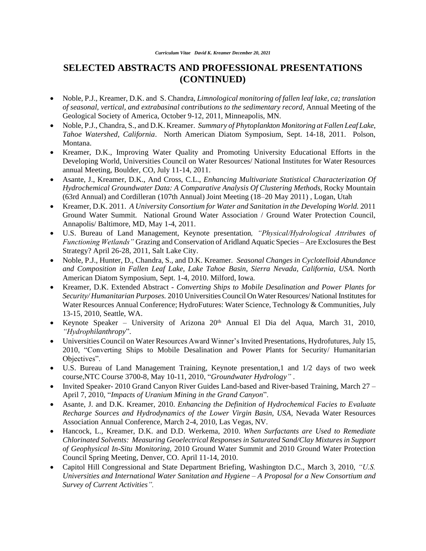- Noble, P.J., Kreamer, D.K. and S. Chandra, *[Limnological monitoring of fallen leaf lake, ca; translation](javascript:var%20myWindow=window.open()  of seasonal, vertical, and [extrabasinal contributions to the sedimentary record](javascript:var%20myWindow=window.open()*, Annual Meeting of the Geological Society of America, October 9-12, 2011, Minneapolis, MN.
- Noble, P.J., Chandra, S., and D.K. Kreamer. *Summary of Phytoplankton Monitoring at Fallen Leaf Lake*, *Tahoe Watershed, California*. North American Diatom Symposium, Sept. 14-18, 2011. Polson, Montana.
- Kreamer, D.K., Improving Water Quality and Promoting University Educational Efforts in the Developing World, Universities Council on Water Resources/ National Institutes for Water Resources annual Meeting, Boulder, CO, July 11-14, 2011.
- Asante, J., Kreamer, D.K., And Cross, C.L., *[Enhancing Multivariate Statistical Characterization Of](javascript:var%20myWindow=window.open()  [Hydrochemical Groundwater Data: A Comparative Analysis Of Clustering Methods,](javascript:var%20myWindow=window.open()* Rocky Mountain (63rd Annual) and Cordilleran (107th Annual) Joint Meeting (18–20 May 2011) , Logan, Utah
- Kreamer, D.K. 2011. *A University Consortium for Water and Sanitation in the Developing World.* 2011 Ground Water Summit. National Ground Water Association / Ground Water Protection Council, Annapolis/ Baltimore, MD, May 1-4, 2011.
- U.S. Bureau of Land Management, Keynote presentation*, "Physical/Hydrological Attributes of Functioning Wetlands"* Grazing and Conservation of Aridland Aquatic Species – Are Exclosures the Best Strategy? April 26-28, 2011, Salt Lake City.
- Noble, P.J., Hunter, D., Chandra, S., and D.K. Kreamer. *Seasonal Changes in Cyclotelloid Abundance and Composition in Fallen Leaf Lake, Lake Tahoe Basin, Sierra Nevada, California, USA*. North American Diatom Symposium, Sept. 1-4, 2010. Milford, Iowa.
- Kreamer, D.K. Extended Abstract *Converting Ships to Mobile Desalination and Power Plants for Security/ Humanitarian Purposes.* 2010 Universities Council On Water Resources/ National Institutes for Water Resources Annual Conference; HydroFutures: Water Science, Technology & Communities, July 13-15, 2010, Seattle, WA.
- Keynote Speaker University of Arizona  $20<sup>th</sup>$  Annual El Dia del Aqua, March 31, 2010, *"Hydrophilanthropy*".
- Universities Council on Water Resources Award Winner's Invited Presentations, Hydrofutures, July 15, 2010, "Converting Ships to Mobile Desalination and Power Plants for Security/ Humanitarian Objectives".
- U.S. Bureau of Land Management Training, Keynote presentation,1 and 1/2 days of two week course,NTC Course 3700-8, May 10-11, 2010, "*Groundwater Hydrology"* .
- Invited Speaker- 2010 Grand Canyon River Guides Land-based and River-based Training, March 27 April 7, 2010, "*Impacts of Uranium Mining in the Grand Canyon*".
- Asante, J. and D.K. Kreamer, 2010. *Enhancing the Definition of Hydrochemical Facies to Evaluate Recharge Sources and Hydrodynamics of the Lower Virgin Basin, USA,* Nevada Water Resources Association Annual Conference, March 2-4, 2010, Las Vegas, NV.
- Hancock, L., Kreamer, D.K. and D.D. Werkema, 2010. *When Surfactants are Used to Remediate Chlorinated Solvents: Measuring Geoelectrical Responses in Saturated Sand/Clay Mixtures in Support of Geophysical In-Situ Monitoring,* 2010 Ground Water Summit and 2010 Ground Water Protection Council Spring Meeting, Denver, CO. April 11-14, 2010.
- Capitol Hill Congressional and State Department Briefing, Washington D.C., March 3, 2010, *"U.S. Universities and International Water Sanitation and Hygiene – A Proposal for a New Consortium and Survey of Current Activities".*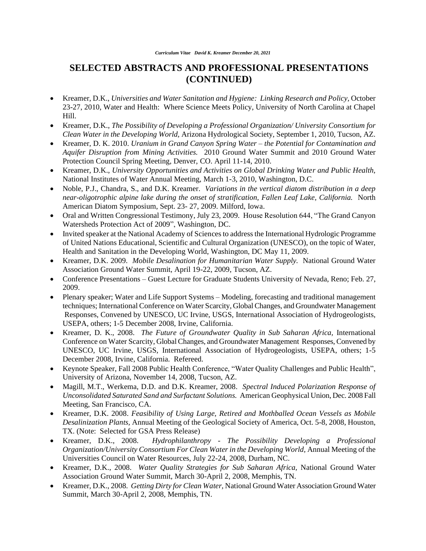- Kreamer, D.K., *Universities and Water Sanitation and Hygiene: Linking Research and Policy,* October 23-27, 2010, Water and Health: Where Science Meets Policy, University of North Carolina at Chapel Hill.
- Kreamer, D.K., *The Possibility of Developing a Professional Organization/ University Consortium for Clean Water in the Developing World,* Arizona Hydrological Society, September 1, 2010, Tucson, AZ.
- Kreamer, D. K. 2010. *[Uranium in Grand Canyon Spring Water –](http://ngwa.confex.com/ngwa/2010gws/webprogram/Paper7043.html) the Potential for Contamination and [Aquifer Disruption from Mining Activities.](http://ngwa.confex.com/ngwa/2010gws/webprogram/Paper7043.html)* 2010 Ground Water Summit and 2010 Ground Water Protection Council Spring Meeting, Denver, CO. April 11-14, 2010.
- Kreamer, D.K., *University Opportunities and Activities on Global Drinking Water and Public Health,* National Institutes of Water Annual Meeting, March 1-3, 2010, Washington, D.C.
- Noble, P.J., Chandra, S., and D.K. Kreamer. *Variations in the vertical diatom distribution in a deep near-oligotrophic alpine lake during the onset of stratification, Fallen Leaf Lake, California.* North American Diatom Symposium, Sept. 23- 27, 2009. Milford, Iowa.
- Oral and Written Congressional Testimony, July 23, 2009. House Resolution 644, "The Grand Canyon" Watersheds Protection Act of 2009", Washington, DC.
- Invited speaker at the National Academy of Sciences to address the International Hydrologic Programme of United Nations Educational, Scientific and Cultural Organization (UNESCO), on the topic of Water, Health and Sanitation in the Developing World, Washington, DC May 11, 2009.
- Kreamer, D.K. 2009. *Mobile Desalination for Humanitarian Water Supply.* National Ground Water Association Ground Water Summit, April 19-22, 2009, Tucson, AZ.
- Conference Presentations Guest Lecture for Graduate Students University of Nevada, Reno; Feb. 27, 2009.
- Plenary speaker; Water and Life Support Systems Modeling, forecasting and traditional management techniques; International Conference on Water Scarcity, Global Changes, and Groundwater Management Responses, Convened by UNESCO, UC Irvine, USGS, International Association of Hydrogeologists, USEPA, others; 1-5 December 2008, Irvine, California.
- Kreamer, D. K., 2008. *The Future of Groundwater Quality in Sub Saharan Africa,* International Conference on Water Scarcity, Global Changes, and Groundwater Management Responses, Convened by UNESCO, UC Irvine, USGS, International Association of Hydrogeologists, USEPA, others; 1-5 December 2008, Irvine, California. Refereed.
- Keynote Speaker, Fall 2008 Public Health Conference, "Water Quality Challenges and Public Health", University of Arizona, November 14, 2008, Tucson, AZ.
- Magill, M.T., Werkema, D.D. and D.K. Kreamer, 2008. *Spectral Induced Polarization Response of Unconsolidated Saturated Sand and Surfactant Solutions.* American Geophysical Union, Dec. 2008 Fall Meeting, San Francisco, CA.
- Kreamer, D.K. 2008. *Feasibility of Using Large, Retired and Mothballed Ocean Vessels as Mobile Desalinization Plants,* Annual Meeting of the Geological Society of America, Oct. 5-8, 2008, Houston, TX. (Note: Selected for GSA Press Release)
- Kreamer, D.K., 2008. *Hydrophilanthropy - The Possibility Developing a Professional Organization/University Consortium For Clean Water in the Developing World,* Annual Meeting of the Universities Council on Water Resources, July 22-24, 2008, Durham, NC.
- Kreamer, D.K., 2008. *Water Quality Strategies for Sub Saharan Africa,* National Ground Water Association Ground Water Summit, March 30-April 2, 2008, Memphis, TN.
- Kreamer, D.K., 2008. *Getting Dirty for Clean Water,* National Ground Water Association Ground Water Summit, March 30-April 2, 2008, Memphis, TN.